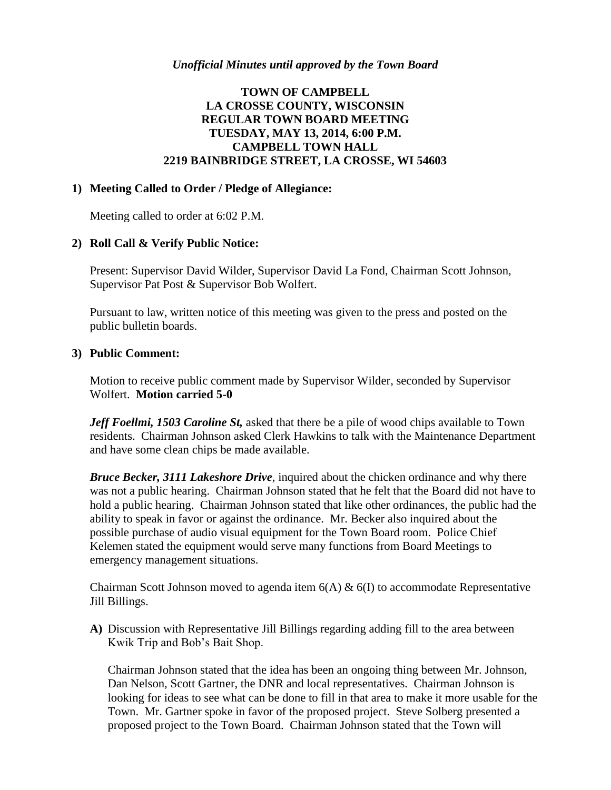# **TOWN OF CAMPBELL LA CROSSE COUNTY, WISCONSIN REGULAR TOWN BOARD MEETING TUESDAY, MAY 13, 2014, 6:00 P.M. CAMPBELL TOWN HALL 2219 BAINBRIDGE STREET, LA CROSSE, WI 54603**

### **1) Meeting Called to Order / Pledge of Allegiance:**

Meeting called to order at 6:02 P.M.

## **2) Roll Call & Verify Public Notice:**

Present: Supervisor David Wilder, Supervisor David La Fond, Chairman Scott Johnson, Supervisor Pat Post & Supervisor Bob Wolfert.

Pursuant to law, written notice of this meeting was given to the press and posted on the public bulletin boards.

#### **3) Public Comment:**

Motion to receive public comment made by Supervisor Wilder, seconded by Supervisor Wolfert. **Motion carried 5-0**

*Jeff Foellmi, 1503 Caroline St,* asked that there be a pile of wood chips available to Town residents. Chairman Johnson asked Clerk Hawkins to talk with the Maintenance Department and have some clean chips be made available.

*Bruce Becker, 3111 Lakeshore Drive*, inquired about the chicken ordinance and why there was not a public hearing. Chairman Johnson stated that he felt that the Board did not have to hold a public hearing. Chairman Johnson stated that like other ordinances, the public had the ability to speak in favor or against the ordinance. Mr. Becker also inquired about the possible purchase of audio visual equipment for the Town Board room. Police Chief Kelemen stated the equipment would serve many functions from Board Meetings to emergency management situations.

Chairman Scott Johnson moved to agenda item  $6(A) \& 6(I)$  to accommodate Representative Jill Billings.

**A)** Discussion with Representative Jill Billings regarding adding fill to the area between Kwik Trip and Bob's Bait Shop.

Chairman Johnson stated that the idea has been an ongoing thing between Mr. Johnson, Dan Nelson, Scott Gartner, the DNR and local representatives. Chairman Johnson is looking for ideas to see what can be done to fill in that area to make it more usable for the Town. Mr. Gartner spoke in favor of the proposed project. Steve Solberg presented a proposed project to the Town Board. Chairman Johnson stated that the Town will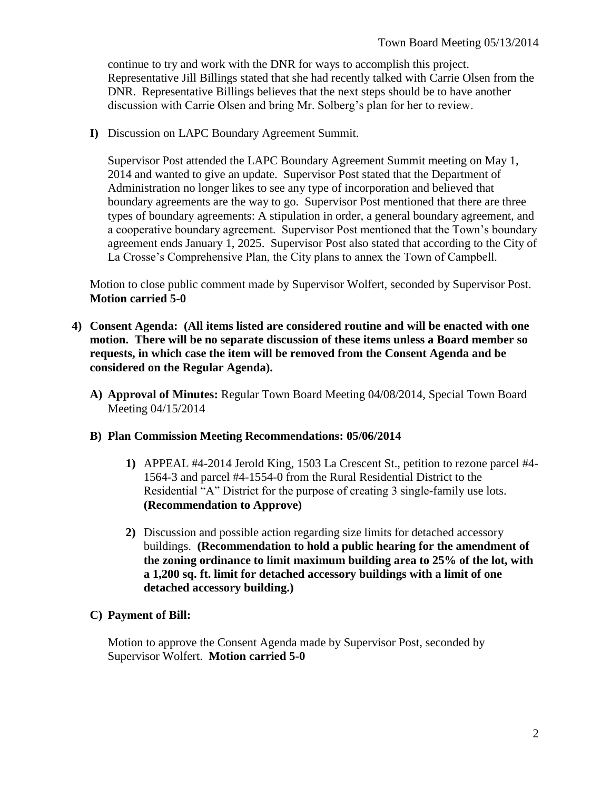continue to try and work with the DNR for ways to accomplish this project. Representative Jill Billings stated that she had recently talked with Carrie Olsen from the DNR. Representative Billings believes that the next steps should be to have another discussion with Carrie Olsen and bring Mr. Solberg's plan for her to review.

**I)** Discussion on LAPC Boundary Agreement Summit.

Supervisor Post attended the LAPC Boundary Agreement Summit meeting on May 1, 2014 and wanted to give an update. Supervisor Post stated that the Department of Administration no longer likes to see any type of incorporation and believed that boundary agreements are the way to go. Supervisor Post mentioned that there are three types of boundary agreements: A stipulation in order, a general boundary agreement, and a cooperative boundary agreement. Supervisor Post mentioned that the Town's boundary agreement ends January 1, 2025. Supervisor Post also stated that according to the City of La Crosse's Comprehensive Plan, the City plans to annex the Town of Campbell.

Motion to close public comment made by Supervisor Wolfert, seconded by Supervisor Post. **Motion carried 5-0**

- **4) Consent Agenda: (All items listed are considered routine and will be enacted with one motion. There will be no separate discussion of these items unless a Board member so requests, in which case the item will be removed from the Consent Agenda and be considered on the Regular Agenda).**
	- **A) Approval of Minutes:** Regular Town Board Meeting 04/08/2014, Special Town Board Meeting 04/15/2014

#### **B) Plan Commission Meeting Recommendations: 05/06/2014**

- **1)** APPEAL #4-2014 Jerold King, 1503 La Crescent St., petition to rezone parcel #4- 1564-3 and parcel #4-1554-0 from the Rural Residential District to the Residential "A" District for the purpose of creating 3 single-family use lots. **(Recommendation to Approve)**
- **2)** Discussion and possible action regarding size limits for detached accessory buildings. **(Recommendation to hold a public hearing for the amendment of the zoning ordinance to limit maximum building area to 25% of the lot, with a 1,200 sq. ft. limit for detached accessory buildings with a limit of one detached accessory building.)**

#### **C) Payment of Bill:**

Motion to approve the Consent Agenda made by Supervisor Post, seconded by Supervisor Wolfert. **Motion carried 5-0**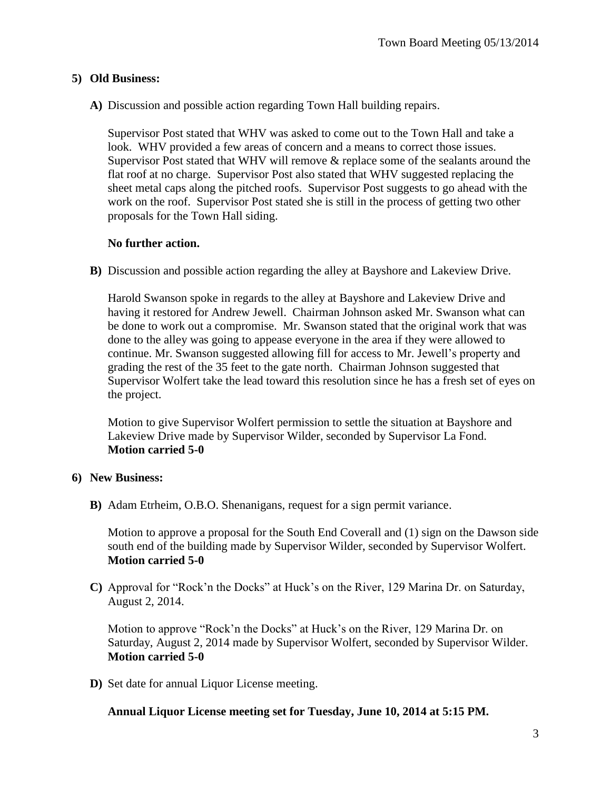## **5) Old Business:**

**A)** Discussion and possible action regarding Town Hall building repairs.

Supervisor Post stated that WHV was asked to come out to the Town Hall and take a look. WHV provided a few areas of concern and a means to correct those issues. Supervisor Post stated that WHV will remove & replace some of the sealants around the flat roof at no charge. Supervisor Post also stated that WHV suggested replacing the sheet metal caps along the pitched roofs. Supervisor Post suggests to go ahead with the work on the roof. Supervisor Post stated she is still in the process of getting two other proposals for the Town Hall siding.

## **No further action.**

**B)** Discussion and possible action regarding the alley at Bayshore and Lakeview Drive.

Harold Swanson spoke in regards to the alley at Bayshore and Lakeview Drive and having it restored for Andrew Jewell. Chairman Johnson asked Mr. Swanson what can be done to work out a compromise. Mr. Swanson stated that the original work that was done to the alley was going to appease everyone in the area if they were allowed to continue. Mr. Swanson suggested allowing fill for access to Mr. Jewell's property and grading the rest of the 35 feet to the gate north. Chairman Johnson suggested that Supervisor Wolfert take the lead toward this resolution since he has a fresh set of eyes on the project.

Motion to give Supervisor Wolfert permission to settle the situation at Bayshore and Lakeview Drive made by Supervisor Wilder, seconded by Supervisor La Fond. **Motion carried 5-0**

#### **6) New Business:**

**B)** Adam Etrheim, O.B.O. Shenanigans, request for a sign permit variance.

Motion to approve a proposal for the South End Coverall and (1) sign on the Dawson side south end of the building made by Supervisor Wilder, seconded by Supervisor Wolfert. **Motion carried 5-0**

**C)** Approval for "Rock'n the Docks" at Huck's on the River, 129 Marina Dr. on Saturday, August 2, 2014.

Motion to approve "Rock'n the Docks" at Huck's on the River, 129 Marina Dr. on Saturday, August 2, 2014 made by Supervisor Wolfert, seconded by Supervisor Wilder. **Motion carried 5-0**

**D)** Set date for annual Liquor License meeting.

**Annual Liquor License meeting set for Tuesday, June 10, 2014 at 5:15 PM.**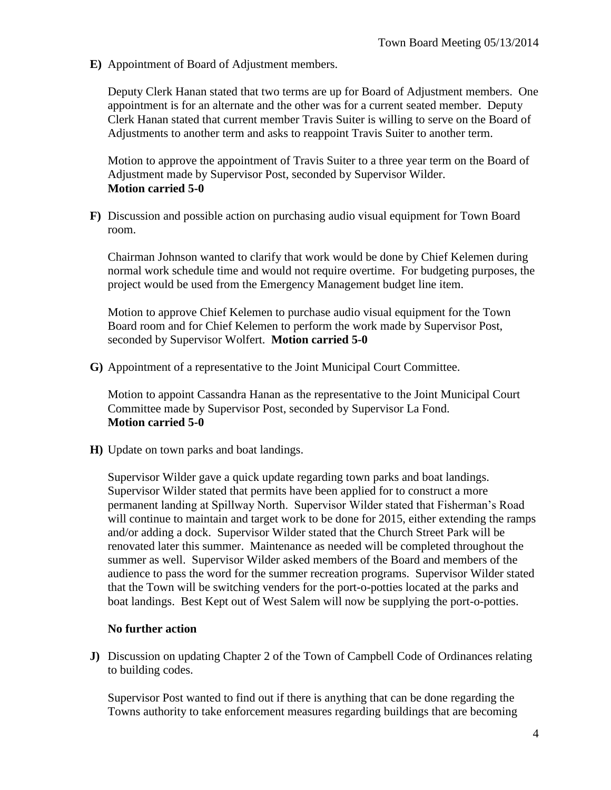**E)** Appointment of Board of Adjustment members.

Deputy Clerk Hanan stated that two terms are up for Board of Adjustment members. One appointment is for an alternate and the other was for a current seated member. Deputy Clerk Hanan stated that current member Travis Suiter is willing to serve on the Board of Adjustments to another term and asks to reappoint Travis Suiter to another term.

Motion to approve the appointment of Travis Suiter to a three year term on the Board of Adjustment made by Supervisor Post, seconded by Supervisor Wilder. **Motion carried 5-0**

**F)** Discussion and possible action on purchasing audio visual equipment for Town Board room.

Chairman Johnson wanted to clarify that work would be done by Chief Kelemen during normal work schedule time and would not require overtime. For budgeting purposes, the project would be used from the Emergency Management budget line item.

Motion to approve Chief Kelemen to purchase audio visual equipment for the Town Board room and for Chief Kelemen to perform the work made by Supervisor Post, seconded by Supervisor Wolfert. **Motion carried 5-0**

**G)** Appointment of a representative to the Joint Municipal Court Committee.

Motion to appoint Cassandra Hanan as the representative to the Joint Municipal Court Committee made by Supervisor Post, seconded by Supervisor La Fond. **Motion carried 5-0**

**H)** Update on town parks and boat landings.

Supervisor Wilder gave a quick update regarding town parks and boat landings. Supervisor Wilder stated that permits have been applied for to construct a more permanent landing at Spillway North. Supervisor Wilder stated that Fisherman's Road will continue to maintain and target work to be done for 2015, either extending the ramps and/or adding a dock. Supervisor Wilder stated that the Church Street Park will be renovated later this summer. Maintenance as needed will be completed throughout the summer as well. Supervisor Wilder asked members of the Board and members of the audience to pass the word for the summer recreation programs. Supervisor Wilder stated that the Town will be switching venders for the port-o-potties located at the parks and boat landings. Best Kept out of West Salem will now be supplying the port-o-potties.

#### **No further action**

**J)** Discussion on updating Chapter 2 of the Town of Campbell Code of Ordinances relating to building codes.

Supervisor Post wanted to find out if there is anything that can be done regarding the Towns authority to take enforcement measures regarding buildings that are becoming